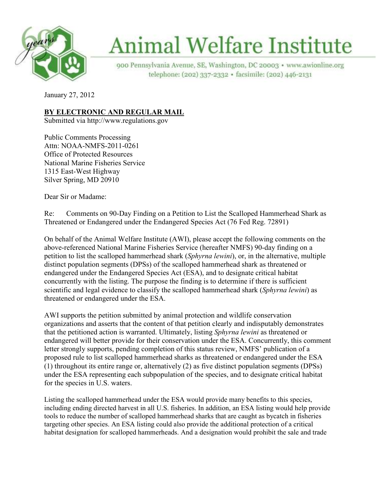

# **Animal Welfare Institute**

900 Pennsylvania Avenue, SE, Washington, DC 20003 · www.awionline.org telephone: (202) 337-2332 · facsimile: (202) 446-2131

January 27, 2012

## **<u>BY ELECTRONIC AND REGULAR MAIL</u>**

Submitted via http://www.regulations.gov

Public Comments Processing Attn: NOAA-NMFS-2011-0261 Office of Protected Resources National Marine Fisheries Service 1315 East-West Highway Silver Spring, MD 20910

Dear Sir or Madame:

Re: Comments on 90-Day Finding on a Petition to List the Scalloped Hammerhead Shark as Threatened or Endangered under the Endangered Species Act (76 Fed Reg. 72891)

On behalf of the Animal Welfare Institute (AWI), please accept the following comments on the above-referenced National Marine Fisheries Service (hereafter NMFS) 90-day finding on a petition to list the scalloped hammerhead shark (*Sphyrna lewini*), or, in the alternative, multiple distinct population segments (DPSs) of the scalloped hammerhead shark as threatened or endangered under the Endangered Species Act (ESA), and to designate critical habitat concurrently with the listing. The purpose the finding is to determine if there is sufficient scientific and legal evidence to classify the scalloped hammerhead shark (*Sphyrna lewini*) as threatened or endangered under the ESA.

AWI supports the petition submitted by animal protection and wildlife conservation organizations and asserts that the content of that petition clearly and indisputably demonstrates that the petitioned action is warranted. Ultimately, listing *Sphyrna lewini* as threatened or endangered will better provide for their conservation under the ESA. Concurrently, this comment letter strongly supports, pending completion of this status review, NMFS' publication of a proposed rule to list scalloped hammerhead sharks as threatened or endangered under the ESA (1) throughout its entire range or, alternatively (2) as five distinct population segments (DPSs) under the ESA representing each subpopulation of the species, and to designate critical habitat for the species in U.S. waters.

Listing the scalloped hammerhead under the ESA would provide many benefits to this species, including ending directed harvest in all U.S. fisheries. In addition, an ESA listing would help provide tools to reduce the number of scalloped hammerhead sharks that are caught as bycatch in fisheries targeting other species. An ESA listing could also provide the additional protection of a critical habitat designation for scalloped hammerheads. And a designation would prohibit the sale and trade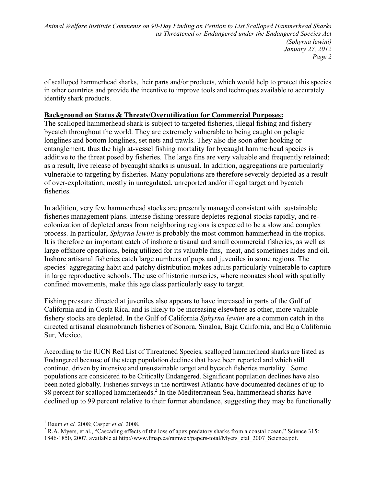of scalloped hammerhead sharks, their parts and/or products, which would help to protect this species in other countries and provide the incentive to improve tools and techniques available to accurately identify shark products.

#### **Background on Status & Threats/Overutilization for Commercial Purposes:**

The scalloped hammerhead shark is subject to targeted fisheries, illegal fishing and fishery bycatch throughout the world. They are extremely vulnerable to being caught on pelagic longlines and bottom longlines, set nets and trawls. They also die soon after hooking or entanglement, thus the high at-vessel fishing mortality for bycaught hammerhead species is additive to the threat posed by fisheries. The large fins are very valuable and frequently retained; as a result, live release of bycaught sharks is unusual. In addition, aggregations are particularly vulnerable to targeting by fisheries. Many populations are therefore severely depleted as a result of over-exploitation, mostly in unregulated, unreported and/or illegal target and bycatch fisheries.

In addition, very few hammerhead stocks are presently managed consistent with sustainable fisheries management plans. Intense fishing pressure depletes regional stocks rapidly, and recolonization of depleted areas from neighboring regions is expected to be a slow and complex process. In particular, *Sphyrna lewini* is probably the most common hammerhead in the tropics. It is therefore an important catch of inshore artisanal and small commercial fisheries, as well as large offshore operations, being utilized for its valuable fins, meat, and sometimes hides and oil. Inshore artisanal fisheries catch large numbers of pups and juveniles in some regions. The species' aggregating habit and patchy distribution makes adults particularly vulnerable to capture in large reproductive schools. The use of historic nurseries, where neonates shoal with spatially confined movements, make this age class particularly easy to target.

Fishing pressure directed at juveniles also appears to have increased in parts of the Gulf of California and in Costa Rica, and is likely to be increasing elsewhere as other, more valuable fishery stocks are depleted. In the Gulf of California *Sphyrna lewini* are a common catch in the directed artisanal elasmobranch fisheries of Sonora, Sinaloa, Baja California, and Baja California Sur, Mexico.

According to the IUCN Red List of Threatened Species, scalloped hammerhead sharks are listed as Endangered because of the steep population declines that have been reported and which still continue, driven by intensive and unsustainable target and bycatch fisheries mortality.<sup>1</sup> Some populations are considered to be Critically Endangered. Significant population declines have also been noted globally. Fisheries surveys in the northwest Atlantic have documented declines of up to 98 percent for scalloped hammerheads.<sup>2</sup> In the Mediterranean Sea, hammerhead sharks have declined up to 99 percent relative to their former abundance, suggesting they may be functionally

 1 Baum *et al.* 2008; Casper *et al.* 2008.

 $2^2$  R.A. Myers, et al., "Cascading effects of the loss of apex predatory sharks from a coastal ocean," Science 315: 1846-1850, 2007, available at http://www.fmap.ca/ramweb/papers-total/Myers\_etal\_2007\_Science.pdf.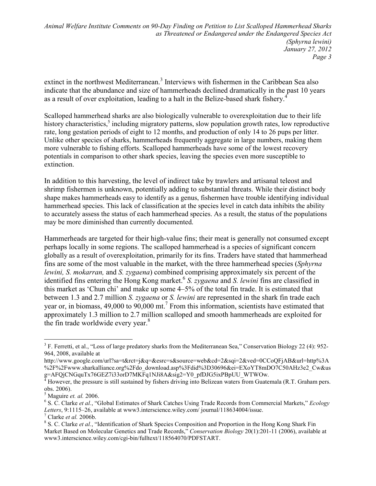extinct in the northwest Mediterranean.<sup>3</sup> Interviews with fishermen in the Caribbean Sea also indicate that the abundance and size of hammerheads declined dramatically in the past 10 years as a result of over exploitation, leading to a halt in the Belize-based shark fishery.<sup>4</sup>

Scalloped hammerhead sharks are also biologically vulnerable to overexploitation due to their life history characteristics,<sup>5</sup> including migratory patterns, slow population growth rates, low reproductive rate, long gestation periods of eight to 12 months, and production of only 14 to 26 pups per litter. Unlike other species of sharks, hammerheads frequently aggregate in large numbers, making them more vulnerable to fishing efforts. Scalloped hammerheads have some of the lowest recovery potentials in comparison to other shark species, leaving the species even more susceptible to extinction.

In addition to this harvesting, the level of indirect take by trawlers and artisanal teleost and shrimp fishermen is unknown, potentially adding to substantial threats. While their distinct body shape makes hammerheads easy to identify as a genus, fishermen have trouble identifying individual hammerhead species. This lack of classification at the species level in catch data inhibits the ability to accurately assess the status of each hammerhead species. As a result, the status of the populations may be more diminished than currently documented.

Hammerheads are targeted for their high-value fins; their meat is generally not consumed except perhaps locally in some regions. The scalloped hammerhead is a species of significant concern globally as a result of overexploitation, primarily for its fins. Traders have stated that hammerhead fins are some of the most valuable in the market, with the three hammerhead species (*Sphyrna lewini, S. mokarran,* and *S. zygaena*) combined comprising approximately six percent of the identified fins entering the Hong Kong market.<sup>6</sup> S. zygaena and S. lewini fins are classified in this market as 'Chun chi' and make up some 4–5% of the total fin trade. It is estimated that between 1.3 and 2.7 million *S. zygaena* or *S. lewini* are represented in the shark fin trade each year or, in biomass,  $49,000$  to  $90,000$  mt.<sup>7</sup> From this information, scientists have estimated that approximately 1.3 million to 2.7 million scalloped and smooth hammerheads are exploited for the fin trade worldwide every year.<sup>8</sup>

 $\overline{a}$ 

<sup>&</sup>lt;sup>3</sup> F. Ferretti, et al., "Loss of large predatory sharks from the Mediterranean Sea," Conservation Biology 22 (4): 952-964, 2008, available at

http://www.google.com/url?sa=t&rct=j&q=&esrc=s&source=web&cd=2&sqi=2&ved=0CCoQFjAB&url=http%3A %2F%2Fwww.sharkalliance.org%2Fdo\_download.asp%3Fdid%3D30696&ei=EXoYT8mDO7C50AHz3e2\_Cw&us g=AFQjCNGquTx76GEZ7i33orD7MKFq1NJi8A&sig2=Y0\_pfDJG5ixPBpUU\_WTWOw.<br><sup>4</sup> However, the pressure is still sustained by fishers driving into Belizeen waters from Guater

However, the pressure is still sustained by fishers driving into Belizean waters from Guatemala (R.T. Graham pers. obs. 2006).

<sup>5</sup> Maguire *et. al.* 2006.

<sup>6</sup> S. C. Clarke *et al.*, "Global Estimates of Shark Catches Using Trade Records from Commercial Markets," *Ecology Letters*, 9:1115–26, available at www3.interscience.wiley.com/ journal/118634004/issue. 7 Clarke *et al.* 2006b.

<sup>&</sup>lt;sup>8</sup> S. C. Clarke *et al.*, "Identification of Shark Species Composition and Proportion in the Hong Kong Shark Fin

Market Based on Molecular Genetics and Trade Records," *Conservation Biology* 20(1):201-11 (2006), available at www3.interscience.wiley.com/cgi-bin/fulltext/118564070/PDFSTART.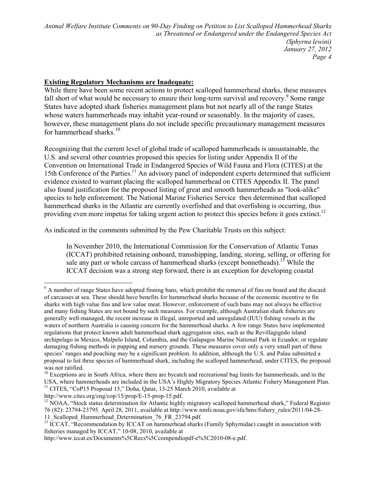#### **Existing Regulatory Mechanisms are Inadequate:**

While there have been some recent actions to protect scalloped hammerhead sharks, these measures fall short of what would be necessary to ensure their long-term survival and recovery.<sup>9</sup> Some range States have adopted shark fisheries management plans but not nearly all of the range States whose waters hammerheads may inhabit year-round or seasonably. In the majority of cases, however, these management plans do not include specific precautionary management measures for hammerhead sharks $10$ 

Recognizing that the current level of global trade of scalloped hammerheads is unsustainable, the U.S. and several other countries proposed this species for listing under Appendix II of the Convention on International Trade in Endangered Species of Wild Fauna and Flora (CITES) at the 15th Conference of the Parties.<sup>11</sup> An advisory panel of independent experts determined that sufficient evidence existed to warrant placing the scalloped hammerhead on CITES Appendix II. The panel also found justification for the proposed listing of great and smooth hammerheads as "look-alike" species to help enforcement. The National Marine Fisheries Service then determined that scalloped hammerhead sharks in the Atlantic are currently overfished and that overfishing is occurring, thus providing even more impetus for taking urgent action to protect this species before it goes extinct.<sup>12</sup>

As indicated in the comments submitted by the Pew Charitable Trusts on this subject:

In November 2010, the International Commission for the Conservation of Atlantic Tunas (ICCAT) prohibited retaining onboard, transshipping, landing, storing, selling, or offering for sale any part or whole carcass of hammerhead sharks (except bonnetheads).<sup>13</sup> While the ICCAT decision was a strong step forward, there is an exception for developing coastal

http://www.cites.org/eng/cop/15/prop/E-15-prop-15.pdf.

-

<sup>&</sup>lt;sup>9</sup> A number of range States have adopted finning bans, which prohibit the removal of fins on board and the discard of carcasses at sea. These should have benefits for hammerhead sharks because of the economic incentive to fin sharks with high value fins and low value meat. However, enforcement of such bans may not always be effective and many fishing States are not bound by such measures. For example, although Australian shark fisheries are generally well-managed, the recent increase in illegal, unreported and unregulated (IUU) fishing vessels in the waters of northern Australia is causing concern for the hammerhead sharks. A few range States have implemented regulations that protect known adult hammerhead shark aggregation sites, such as the Revillagigedo island archipelago in Mexico, Malpelo Island, Columbia, and the Galapagos Marine National Park in Ecuador, or regulate damaging fishing methods in pupping and nursery grounds. These measures cover only a very small part of these species' ranges and poaching may be a significant problem. In addition, although the U.S. and Palau submitted a proposal to list three species of hammerhead shark, including the scalloped hammerhead, under CITES, the proposal was not ratified.

 $10$  Exceptions are in South Africa, where there are bycatch and recreational bag limits for hammerheads, and in the USA, where hammerheads are included in the USA's Highly Migratory Species Atlantic Fishery Management Plan. <sup>11</sup> CITES, "CoP15 Proposal 15," Doha, Qatar, 13-25 March 2010, available at

<sup>&</sup>lt;sup>12</sup> NOAA, "Stock status determination for Atlantic highly migratory scalloped hammerhead shark," Federal Register 76 (82): 23794-23795. April 28, 2011, available at http://www.nmfs.noaa.gov/sfa/hms/fishery\_rules/2011/04-28- 11 Scalloped Hammerhead Determination 76 FR 23794.pdf.

 $^{13}$  ICCAT, "Recommendation by ICCAT on hammerhead sharks (Family Sphyrnidae) caught in association with fisheries managed by ICCAT," 10-08, 2010, available at

http://www.iccat.es/Documents%5CRecs%5Ccompendiopdf-e%5C2010-08-e.pdf.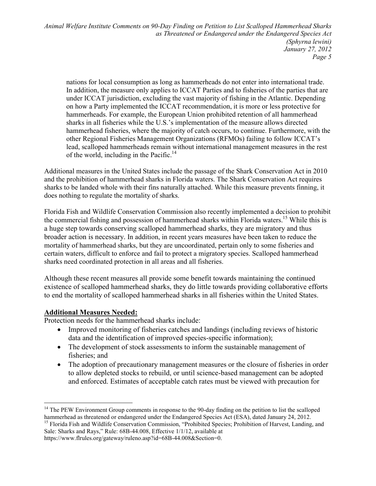nations for local consumption as long as hammerheads do not enter into international trade. In addition, the measure only applies to ICCAT Parties and to fisheries of the parties that are under ICCAT jurisdiction, excluding the vast majority of fishing in the Atlantic. Depending on how a Party implemented the ICCAT recommendation, it is more or less protective for hammerheads. For example, the European Union prohibited retention of all hammerhead sharks in all fisheries while the U.S.'s implementation of the measure allows directed hammerhead fisheries, where the majority of catch occurs, to continue. Furthermore, with the other Regional Fisheries Management Organizations (RFMOs) failing to follow ICCAT's lead, scalloped hammerheads remain without international management measures in the rest of the world, including in the Pacific.<sup>14</sup>

Additional measures in the United States include the passage of the Shark Conservation Act in 2010 and the prohibition of hammerhead sharks in Florida waters. The Shark Conservation Act requires sharks to be landed whole with their fins naturally attached. While this measure prevents finning, it does nothing to regulate the mortality of sharks.

Florida Fish and Wildlife Conservation Commission also recently implemented a decision to prohibit the commercial fishing and possession of hammerhead sharks within Florida waters.<sup>15</sup> While this is a huge step towards conserving scalloped hammerhead sharks, they are migratory and thus broader action is necessary. In addition, in recent years measures have been taken to reduce the mortality of hammerhead sharks, but they are uncoordinated, pertain only to some fisheries and certain waters, difficult to enforce and fail to protect a migratory species. Scalloped hammerhead sharks need coordinated protection in all areas and all fisheries.

Although these recent measures all provide some benefit towards maintaining the continued existence of scalloped hammerhead sharks, they do little towards providing collaborative efforts to end the mortality of scalloped hammerhead sharks in all fisheries within the United States.

### **Additional Measures eeded:**

Protection needs for the hammerhead sharks include:

- Improved monitoring of fisheries catches and landings (including reviews of historic data and the identification of improved species-specific information);
- The development of stock assessments to inform the sustainable management of fisheries; and
- The adoption of precautionary management measures or the closure of fisheries in order to allow depleted stocks to rebuild, or until science-based management can be adopted and enforced. Estimates of acceptable catch rates must be viewed with precaution for

Sale: Sharks and Rays," Rule: 68B-44.008, Effective 1/1/12, available at

<sup>-</sup><sup>14</sup> The PEW Environment Group comments in response to the 90-day finding on the petition to list the scalloped hammerhead as threatened or endangered under the Endangered Species Act (ESA), dated January 24, 2012. <sup>15</sup> Florida Fish and Wildlife Conservation Commission, "Prohibited Species; Prohibition of Harvest, Landing, and

https://www.flrules.org/gateway/ruleno.asp?id=68B-44.008&Section=0.